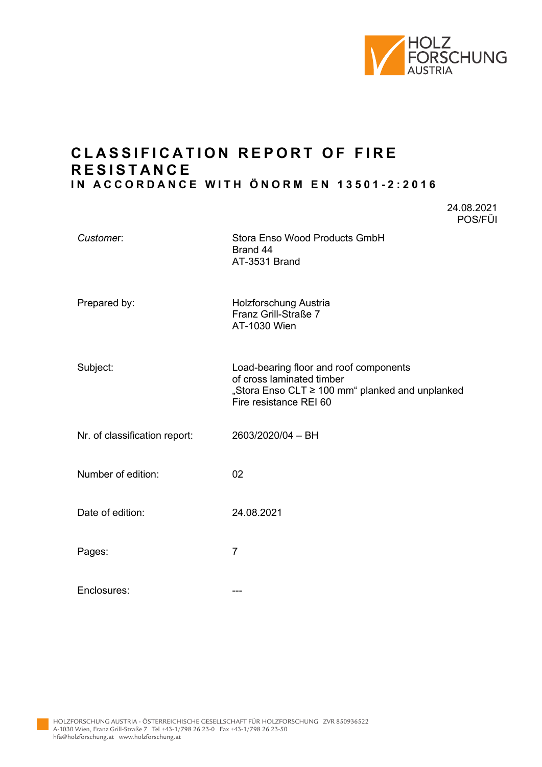

24.08.2021

# **C L ASSIFICATION REPORT OF FIRE R ESISTANCE IN ACCORDANCE WITH ÖNORM EN 13501 - 2:2016**

|                               | POS/FÜI                                                                                                                                          |
|-------------------------------|--------------------------------------------------------------------------------------------------------------------------------------------------|
| Customer:                     | Stora Enso Wood Products GmbH<br>Brand 44<br>AT-3531 Brand                                                                                       |
| Prepared by:                  | Holzforschung Austria<br>Franz Grill-Straße 7<br>AT-1030 Wien                                                                                    |
| Subject:                      | Load-bearing floor and roof components<br>of cross laminated timber<br>"Stora Enso CLT ≥ 100 mm" planked and unplanked<br>Fire resistance REI 60 |
| Nr. of classification report: | 2603/2020/04 - BH                                                                                                                                |
| Number of edition:            | 02                                                                                                                                               |
| Date of edition:              | 24.08.2021                                                                                                                                       |
| Pages:                        | $\overline{7}$                                                                                                                                   |
| Enclosures:                   | ---                                                                                                                                              |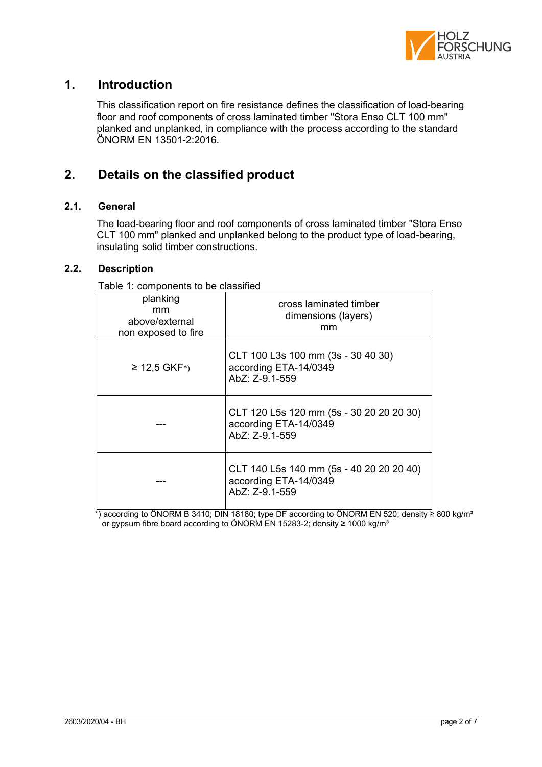

## **1. Introduction**

This classification report on fire resistance defines the classification of load-bearing floor and roof components of cross laminated timber "Stora Enso CLT 100 mm" planked and unplanked, in compliance with the process according to the standard ÖNORM EN 13501-2:2016.

# **2. Details on the classified product**

### **2.1. General**

The load-bearing floor and roof components of cross laminated timber "Stora Enso CLT 100 mm" planked and unplanked belong to the product type of load-bearing, insulating solid timber constructions.

### **2.2. Description**

Table 1: components to be classified

| planking<br>mm<br>above/external<br>non exposed to fire | cross laminated timber<br>dimensions (layers)<br>mm                                 |
|---------------------------------------------------------|-------------------------------------------------------------------------------------|
| $≥ 12,5$ GKF <sup>*</sup> )                             | CLT 100 L3s 100 mm (3s - 30 40 30)<br>according ETA-14/0349<br>AbZ: Z-9.1-559       |
|                                                         | CLT 120 L5s 120 mm (5s - 30 20 20 20 30)<br>according ETA-14/0349<br>AbZ: Z-9.1-559 |
|                                                         | CLT 140 L5s 140 mm (5s - 40 20 20 20 40)<br>according ETA-14/0349<br>AbZ: Z-9.1-559 |

\*) according to ÖNORM B 3410; DIN 18180; type DF according to ÖNORM EN 520; density ≥ 800 kg/m³ or gypsum fibre board according to ÖNORM EN 15283-2; density ≥ 1000 kg/m<sup>3</sup>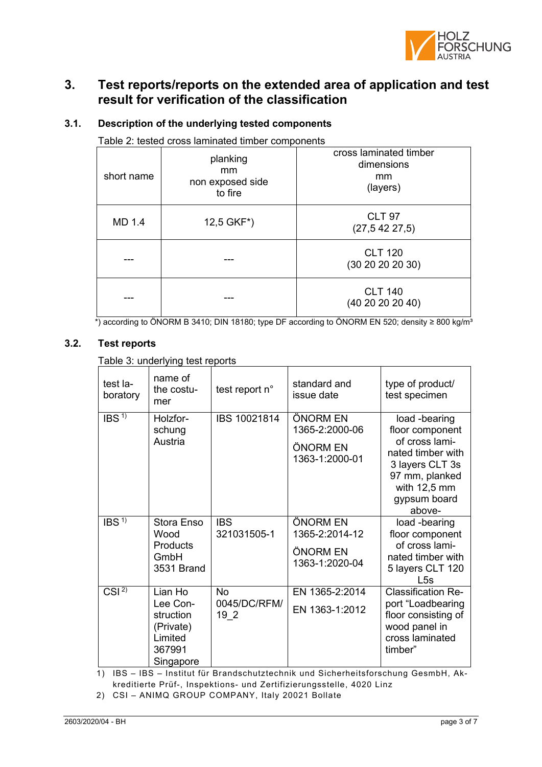

## **3. Test reports/reports on the extended area of application and test result for verification of the classification**

| Table 2: tested cross laminated timber components |                                               |                                                        |  |
|---------------------------------------------------|-----------------------------------------------|--------------------------------------------------------|--|
| short name                                        | planking<br>mm<br>non exposed side<br>to fire | cross laminated timber<br>dimensions<br>mm<br>(layers) |  |
| MD 1.4                                            | 12,5 GKF*)                                    | <b>CLT 97</b><br>(27, 542, 27, 5)                      |  |
|                                                   |                                               | <b>CLT 120</b><br>(30 20 20 20 30)                     |  |
|                                                   |                                               | <b>CLT 140</b><br>(40 20 20 20 40)                     |  |

### **3.1. Description of the underlying tested components**

 $^*$ ) according to ÖNORM B 3410; DIN 18180; type DF according to ÖNORM EN 520; density ≥ 800 kg/m $^3$ 

### **3.2. Test reports**

Table 3: underlying test reports

| test la-<br>boratory | name of<br>the costu-<br>mer                                                    | test report n°                         | standard and<br>issue date                               | type of product/<br>test specimen                                                                                                                        |
|----------------------|---------------------------------------------------------------------------------|----------------------------------------|----------------------------------------------------------|----------------------------------------------------------------------------------------------------------------------------------------------------------|
| IBS <sup>1</sup>     | Holzfor-<br>schung<br>Austria                                                   | IBS 10021814                           | ÖNORM EN<br>1365-2:2000-06<br>ÖNORM EN<br>1363-1:2000-01 | load -bearing<br>floor component<br>of cross lami-<br>nated timber with<br>3 layers CLT 3s<br>97 mm, planked<br>with $12,5$ mm<br>gypsum board<br>above- |
| IBS <sup>1</sup>     | Stora Enso<br>Wood<br>Products<br>GmbH<br>3531 Brand                            | <b>IBS</b><br>321031505-1              | ÖNORM EN<br>1365-2:2014-12<br>ÖNORM EN<br>1363-1:2020-04 | load -bearing<br>floor component<br>of cross lami-<br>nated timber with<br>5 layers CLT 120<br>L5s                                                       |
| CSI $^{2}$           | Lian Ho<br>Lee Con-<br>struction<br>(Private)<br>Limited<br>367991<br>Singapore | No.<br>0045/DC/RFM/<br>19 <sub>2</sub> | EN 1365-2:2014<br>EN 1363-1:2012                         | <b>Classification Re-</b><br>port "Loadbearing<br>floor consisting of<br>wood panel in<br>cross laminated<br>timber"                                     |

1) IBS – IBS – Institut für Brandschutztechnik und Sicherheitsforschung GesmbH, Akkreditierte Prüf-, Inspektions- und Zertifizierungsstelle, 4020 Linz

2) CSI – ANIMQ GROUP COMPANY, Italy 20021 Bollate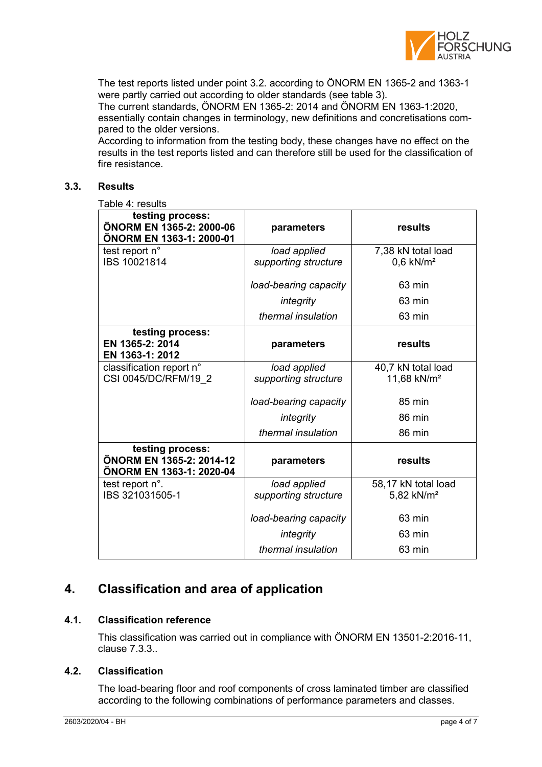

The test reports listed under point 3.2. according to ÖNORM EN 1365-2 and 1363-1 were partly carried out according to older standards (see table 3).

The current standards, ÖNORM EN 1365-2: 2014 and ÖNORM EN 1363-1:2020, essentially contain changes in terminology, new definitions and concretisations compared to the older versions.

According to information from the testing body, these changes have no effect on the results in the test reports listed and can therefore still be used for the classification of fire resistance.

### **3.3. Results**

Table 4: results

| testing process:<br>ÖNORM EN 1365-2: 2000-06<br>ÖNORM EN 1363-1: 2000-01 | parameters                           | results                                       |
|--------------------------------------------------------------------------|--------------------------------------|-----------------------------------------------|
| test report n°<br>IBS 10021814                                           | load applied<br>supporting structure | 7,38 kN total load<br>$0,6$ kN/m <sup>2</sup> |
|                                                                          | load-bearing capacity                | 63 min                                        |
|                                                                          | integrity                            | 63 min                                        |
|                                                                          | thermal insulation                   | 63 min                                        |
| testing process:<br>EN 1365-2: 2014<br>EN 1363-1: 2012                   | parameters                           | results                                       |
| classification report n°<br>CSI 0045/DC/RFM/19 2                         | load applied<br>supporting structure | 40,7 kN total load<br>11,68 kN/m <sup>2</sup> |
|                                                                          | load-bearing capacity                | 85 min                                        |
|                                                                          | integrity                            | 86 min                                        |
|                                                                          | thermal insulation                   | 86 min                                        |
| testing process:<br>ÖNORM EN 1365-2: 2014-12<br>ÖNORM EN 1363-1: 2020-04 | parameters                           | results                                       |
| test report n°.<br>IBS 321031505-1                                       | load applied<br>supporting structure | 58,17 kN total load<br>5,82 kN/m <sup>2</sup> |
|                                                                          | load-bearing capacity                | 63 min                                        |
|                                                                          | integrity                            | 63 min                                        |
|                                                                          | thermal insulation                   | 63 min                                        |

## **4. Classification and area of application**

### **4.1. Classification reference**

This classification was carried out in compliance with ÖNORM EN 13501-2:2016-11, clause 7.3.3..

### **4.2. Classification**

The load-bearing floor and roof components of cross laminated timber are classified according to the following combinations of performance parameters and classes.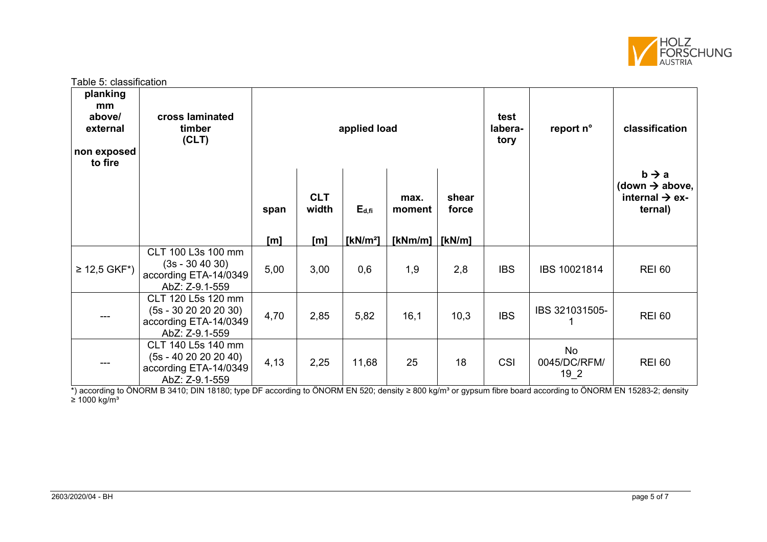

Table 5: classification **planking mm above/ external non exposed to fire cross laminated timber (CLT) applied load test laberatory report n° classification span CLT width E**<sub>d,fi</sub> **max. moment shear force**  $b \rightarrow a$ **(down above,**   $int$ internal  $\rightarrow$  ex**ternal) [m] [m] [kN/m²] [kNm/m] [kN/m]** ≥ 12,5 GKF\*) CLT 100 L3s 100 mm (3s - 30 40 30) according ETA-14/0349 AbZ: Z-9.1-559 5,00 3,00 0,6 1,9 2,8 IBS IBS 10021814 REI 60 --- CLT 120 L5s 120 mm (5s - 30 20 20 20 30) according ETA-14/0349 AbZ: Z-9.1-559  $4,70$  2,85  $5,82$  16,1 10,3 BS BS 15031505-<sup>1</sup>REI 60  $-$ --CLT 140 L5s 140 mm (5s - 40 20 20 20 40) according ETA-14/0349 AbZ: Z-9.1-559 4,13 | 2,25 | 11,68 | 25 | 18 | CSI No 0045/DC/RFM/ 19\_2 REI 60

\*) according to ÖNORM B 3410; DIN 18180; type DF according to ÖNORM EN 520; density ≥ 800 kg/m<sup>3</sup> or gypsum fibre board according to ÖNORM EN 15283-2; density  $≥ 1000$  kg/m<sup>3</sup>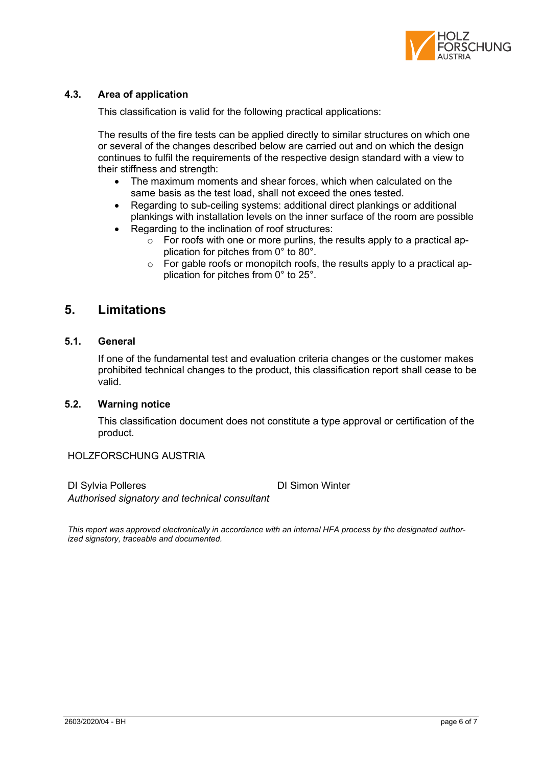

### **4.3. Area of application**

This classification is valid for the following practical applications:

The results of the fire tests can be applied directly to similar structures on which one or several of the changes described below are carried out and on which the design continues to fulfil the requirements of the respective design standard with a view to their stiffness and strength:

- The maximum moments and shear forces, which when calculated on the same basis as the test load, shall not exceed the ones tested.
- Regarding to sub-ceiling systems: additional direct plankings or additional plankings with installation levels on the inner surface of the room are possible
- Regarding to the inclination of roof structures:
	- $\circ$  For roofs with one or more purlins, the results apply to a practical application for pitches from 0° to 80°.
	- o For gable roofs or monopitch roofs, the results apply to a practical application for pitches from 0° to 25°.

### **5. Limitations**

### **5.1. General**

If one of the fundamental test and evaluation criteria changes or the customer makes prohibited technical changes to the product, this classification report shall cease to be valid.

### **5.2. Warning notice**

This classification document does not constitute a type approval or certification of the product.

### HOLZFORSCHUNG AUSTRIA

DI Sylvia Polleres DI Simon Winter *Authorised signatory and technical consultant*

*This report was approved electronically in accordance with an internal HFA process by the designated authorized signatory, traceable and documented.*